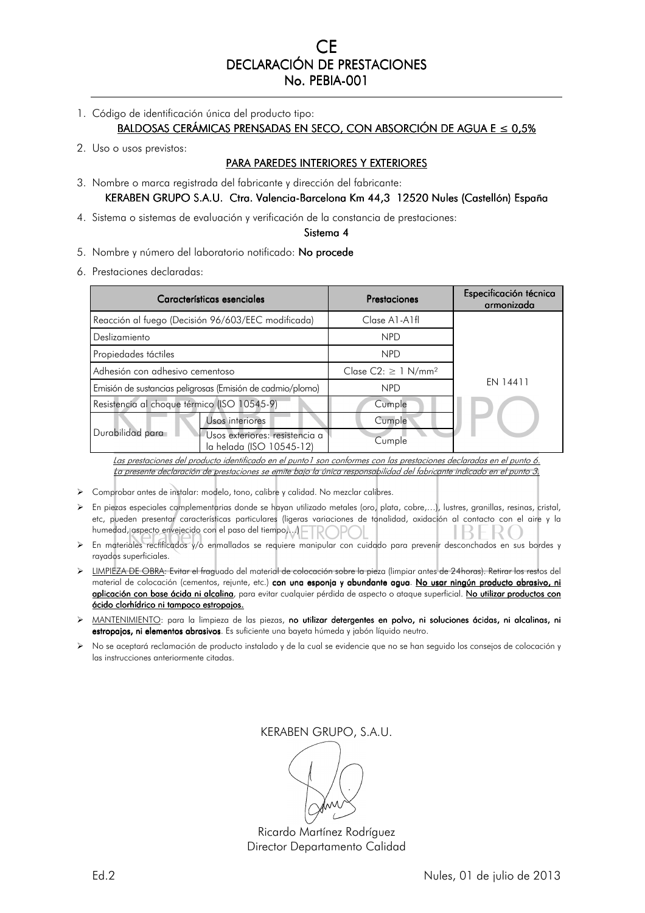CE DECLARACIÓN DE PRESTACIONES No. PEBIA-001

- 1. Código de identificación única del producto tipo: BALDOSAS CERÁMICAS PRENSADAS EN SECO, CON ABSORCIÓN DE AGUA E ≤ 0,5%
- 2. Uso o usos previstos:

# PARA PAREDES INTERIORES Y EXTERIORES

- 3. Nombre o marca registrada del fabricante y dirección del fabricante: KERABEN GRUPO S.A.U. Ctra. Valencia-Barcelona Km 44,3 12520 Nules (Castellón) España
- 4. Sistema o sistemas de evaluación y verificación de la constancia de prestaciones:

#### Sistema 4

- 5. Nombre y número del laboratorio notificado: No procede
- 6. Prestaciones declaradas:

| Características esenciales                                 |                                                            | Prestaciones                         | Especificación técnica<br>armonizada |
|------------------------------------------------------------|------------------------------------------------------------|--------------------------------------|--------------------------------------|
|                                                            | Reacción al fuego (Decisión 96/603/EEC modificada)         | Clase A1-A1fl                        |                                      |
| Deslizamiento                                              |                                                            | <b>NPD</b>                           |                                      |
| Propiedades táctiles                                       |                                                            | <b>NPD</b>                           |                                      |
| Adhesión con adhesivo cementoso                            |                                                            | Clase $C2: \geq 1$ N/mm <sup>2</sup> | EN 14411                             |
| Emisión de sustancias peligrosas (Emisión de cadmio/plomo) |                                                            | <b>NPD</b>                           |                                      |
| Resistencia al choque térmico (ISO 10545-9)                |                                                            | Cumple                               |                                      |
|                                                            | <b>Jsos</b> interiores                                     | Cumple                               |                                      |
| Durabilidad para                                           | Usos exteriores: resistencia a<br>la helada (ISO 10545-12) | Cumple                               |                                      |

Las prestaciones del producto identificado en el punto1 son conformes con las prestaciones declaradas en el punto 6. La presente declaración de prestaciones se emite bajo la única responsabilidad del fabricante indicado en el punto 3.

- Comprobar antes de instalar: modelo, tono, calibre y calidad. No mezclar calibres.
- En piezas especiales complementarias donde se hayan utilizado metales (oro, plata, cobre,…), lustres, granillas, resinas, cristal, etc, pueden presentar características particulares (ligeras variaciones de tonalidad, oxidación al contacto con el aire y la humedad, aspecto envejecido con el paso del tiempo, ... | FROPOL R ( ₹.
- En materiales rectificados y/o enmallados se requiere manipular con cuidado para prevenir desconchados en sus bordes y rayados superficiales.
- LIMPIEZA DE OBRA: Evitar el fraguado del material de colocación sobre la pieza (limpiar antes de 24horas). Retirar los restos del material de colocación (cementos, rejunte, etc.) con una esponja y abundante agua. No usar ningún producto abrasivo, ni aplicación con base ácida ni alcalina, para evitar cualquier pérdida de aspecto o ataque superficial. No utilizar productos con ácido clorhídrico ni tampoco estropajos.
- MANTENIMIENTO: para la limpieza de las piezas, no utilizar detergentes en polvo, ni soluciones ácidas, ni alcalinas, ni estropajos, ni elementos abrasivos. Es suficiente una bayeta húmeda y jabón líquido neutro.
- No se aceptará reclamación de producto instalado y de la cual se evidencie que no se han seguido los consejos de colocación y las instrucciones anteriormente citadas.

Ricardo Martínez Rodríguez Director Departamento Calidad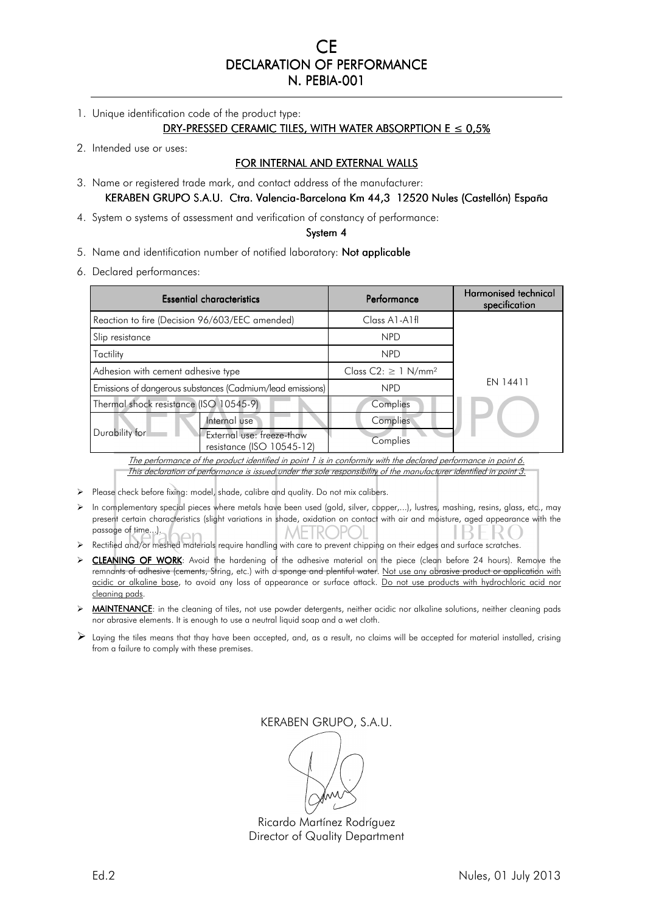CE DECLARATION OF PERFORMANCE N. PEBIA-001

1. Unique identification code of the product type:

#### DRY-PRESSED CERAMIC TILES, WITH WATER ABSORPTION  $E \le 0.5\%$

2. Intended use or uses:

### FOR INTERNAL AND EXTERNAL WALLS

3. Name or registered trade mark, and contact address of the manufacturer: KERABEN GRUPO S.A.U. Ctra. Valencia-Barcelona Km 44,3 12520 Nules (Castellón) España

4. System o systems of assessment and verification of constancy of performance:

#### System 4

- 5. Name and identification number of notified laboratory: Not applicable
- 6. Declared performances:

| <b>Essential characteristics</b>                           |                                                        | Performance                       | <b>Harmonised technical</b><br>specification |
|------------------------------------------------------------|--------------------------------------------------------|-----------------------------------|----------------------------------------------|
| Reaction to fire (Decision 96/603/EEC amended)             |                                                        | $Class A1-A1f1$                   |                                              |
| Slip resistance                                            |                                                        | <b>NPD</b>                        |                                              |
| Tactility                                                  |                                                        | <b>NPD</b>                        |                                              |
| Adhesion with cement adhesive type                         |                                                        | Class $C2: \geq 1 \text{ N/mm}^2$ | EN 14411                                     |
| Emissions of dangerous substances (Cadmium/lead emissions) |                                                        | <b>NPD</b>                        |                                              |
| Thermal shock resistance (ISO 10545-9)                     |                                                        | Complies                          |                                              |
|                                                            | Internal use                                           | Complies                          |                                              |
| Durability for                                             | External use: freeze-thaw<br>resistance (ISO 10545-12) | Complies                          |                                              |

The performance of the product identified in point 1 is in conformity with the declared performance in point 6. This declaration of performance is issued under the sole responsibility of the manufacturer identified in point 3.

- Please check before fixing: model, shade, calibre and quality. Do not mix calibers.
- $\triangleright$  In complementary special pieces where metals have been used (gold, silver, copper,...), lustres, mashing, resins, glass, etc., may present certain characteristics (slight variations in shade, oxidation on contact with air and moisture, aged appearance with the passage of time...). **METROPC**
- > Rectified and/or meshed materials require handling with care to prevent chipping on their edges and surface scratches.
- CLEANING OF WORK: Avoid the hardening of the adhesive material on the piece (clean before 24 hours). Remove the remnants of adhesive (cements, String, etc.) with a sponge and plentiful water. Not use any abrasive product or application with acidic or alkaline base, to avoid any loss of appearance or surface attack. Do not use products with hydrochloric acid nor cleaning pads.
- > MAINTENANCE: in the cleaning of tiles, not use powder detergents, neither acidic nor alkaline solutions, neither cleaning pads nor abrasive elements. It is enough to use a neutral liquid soap and a wet cloth.
- $\triangleright$  Laying the tiles means that thay have been accepted, and, as a result, no claims will be accepted for material installed, crising from a failure to comply with these premises.

KERABEN GRUPO, S.A.U.

Ricardo Martínez Rodríguez Director of Quality Department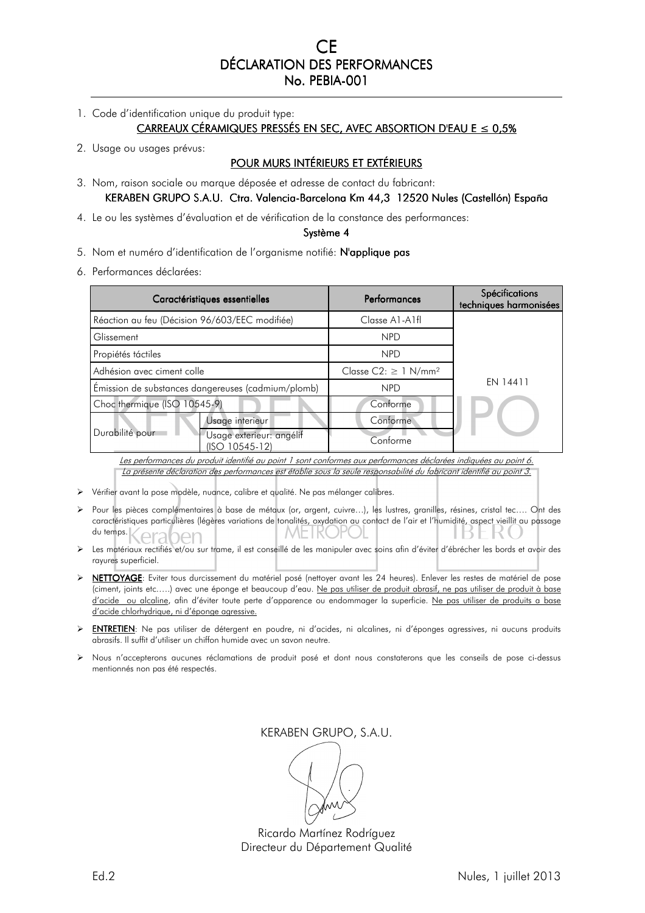CE DÉCLARATION DES PERFORMANCES No. PEBIA-001

1. Code d'identification unique du produit type:

CARREAUX CÉRAMIQUES PRESSÉS EN SEC, AVEC ABSORTION D'EAU E  $\leq 0.5\%$ 

2. Usage ou usages prévus:

# POUR MURS INTÉRIEURS ET EXTÉRIEURS

3. Nom, raison sociale ou marque déposée et adresse de contact du fabricant: KERABEN GRUPO S.A.U. Ctra. Valencia-Barcelona Km 44,3 12520 Nules (Castellón) España

4. Le ou les systèmes d'évaluation et de vérification de la constance des performances:

#### Système 4

5. Nom et numéro d'identification de l'organisme notifié: N'applique pas

6. Performances déclarées:

| Caractéristiques essentielles                      |                                            | <b>Performances</b>                   | <b>Spécifications</b><br>techniques harmonisées |
|----------------------------------------------------|--------------------------------------------|---------------------------------------|-------------------------------------------------|
| Réaction au feu (Décision 96/603/EEC modifiée)     |                                            | Classe A1-A1fl                        |                                                 |
| Glissement                                         |                                            | <b>NPD</b>                            |                                                 |
| Propiétés táctiles                                 |                                            | <b>NPD</b>                            |                                                 |
| Adhésion avec ciment colle                         |                                            | Classe $C2: \geq 1$ N/mm <sup>2</sup> | EN 14411                                        |
| Émission de substances dangereuses (cadmium/plomb) |                                            | <b>NPD</b>                            |                                                 |
| Choc thermique (ISO 10545-9)                       |                                            | Conforme                              |                                                 |
|                                                    | Usage interieur                            | Conforme                              |                                                 |
| Durabilité pour                                    | Usage exterieur: angélif<br>(ISO 10545-12) | Conforme                              |                                                 |

Les performances du produit identifié au point 1 sont conformes aux performances déclarées indiquées au point 6. La présente déclaration des performances est établie sous la seule responsabilité du fabricant identifié au point 3.

- Vérifier avant la pose modèle, nuance, calibre et qualité. Ne pas mélanger calibres.
- Pour les pièces complémentaires à base de métaux (or, argent, cuivre…), les lustres, granilles, résines, cristal tec…. Ont des caractéristiques particulières (légères variations de tonalités, oxydation au contact de l'air et l'humidité, aspect vieillit au passage du temps.
- Les matériaux rectifiés et/ou sur trame, il est conseillé de les manipuler avec soins afin d'éviter d'ébrécher les bords et avoir des rayures superficiel.
- NETTOYAGE: Eviter tous durcissement du matériel posé (nettoyer avant les 24 heures). Enlever les restes de matériel de pose (ciment, joints etc.….) avec une éponge et beaucoup d'eau. Ne pas utiliser de produit abrasif, ne pas utiliser de produit à base d'acide ou alcaline, afin d'éviter toute perte d'apparence ou endommager la superficie. Ne pas utiliser de produits a base d'acide chlorhydrique, ni d'éponge agressive.
- ENTRETIEN: Ne pas utiliser de détergent en poudre, ni d'acides, ni alcalines, ni d'éponges agressives, ni aucuns produits abrasifs. Il suffit d'utiliser un chiffon humide avec un savon neutre.
- Nous n'accepterons aucunes réclamations de produit posé et dont nous constaterons que les conseils de pose ci-dessus mentionnés non pas été respectés.

Ricardo Martínez Rodríguez Directeur du Département Qualité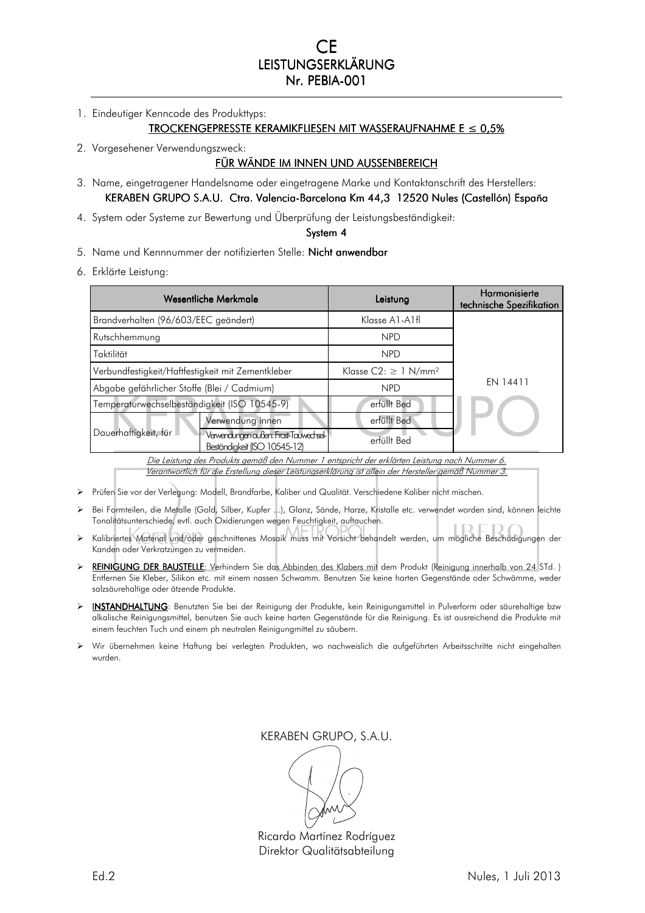CE LEISTUNGSERKLÄRUNG Nr. PEBIA-001

1. Eindeutiger Kenncode des Produkttyps:

#### $TROCKENGEPRESSTE KERAMIKFLIESEN MIT WASSERAUFNAHME  $E \leq 0.5\%$$

2. Vorgesehener Verwendungszweck:

### FÜR WÄNDE IM INNEN UND AUSSENBEREICH

- 3. Name, eingetragener Handelsname oder eingetragene Marke und Kontaktanschrift des Herstellers: KERABEN GRUPO S.A.U. Ctra. Valencia-Barcelona Km 44,3 12520 Nules (Castellón) España
- 4. System oder Systeme zur Bewertung und Überprüfung der Leistungsbeständigkeit:

#### System 4

- 5. Name und Kennnummer der notifizierten Stelle: Nicht anwendbar
- 6. Erklärte Leistung:

| Wesentliche Merkmale                              |                                                                       | Leistung                             | Harmonisierte<br>technische Spezifikation |
|---------------------------------------------------|-----------------------------------------------------------------------|--------------------------------------|-------------------------------------------|
| Brandverhalten (96/603/EEC geändert)              |                                                                       | Klasse A1-A1fl                       |                                           |
| Rutschhemmung                                     |                                                                       | <b>NPD</b>                           |                                           |
| Taktilität                                        |                                                                       | <b>NPD</b>                           |                                           |
| Verbundfestigkeit/Haftfestigkeit mit Zementkleber |                                                                       | Klasse $C2 \geq 1$ N/mm <sup>2</sup> | EN 14411                                  |
| Abgabe gefährlicher Stoffe (Blei / Cadmium)       |                                                                       | <b>NPD</b>                           |                                           |
| Temperaturwechselbeständigkeit (ISO 10545-9)      |                                                                       | erfüllt Bed                          |                                           |
|                                                   | Verwendung innen                                                      | erfüllt Bed                          |                                           |
| Dauerhaftigkeit, für                              | Verwendungen außen: Frost-Tauwednsel-<br>Beständigkeit (ISO 10545-12) | erfüllt Bed                          |                                           |
|                                                   |                                                                       |                                      |                                           |

<u>Die Leistung des Produkts gemäß den Nummer 1 entspricht der erklärten Leistung nach Nummer 6.</u> Verantwortlich für die Erstellung dieser Leistungserklärung ist allein der Hersteller gemäß Nummer 3.

- Prüfen Sie vor der Verlegung: Modell, Brandfarbe, Kaliber und Qualität. Verschiedene Kaliber nicht mischen.
- Bei Formteilen, die Metalle (Gold, Silber, Kupfer ...), Glanz, Sände, Harze, Kristalle etc. verwendet worden sind, können leichte Tonalitätsunterschiede, evtl. auch Oxidierungen wegen Feuchtigkeit, auftauchen.
- Kalibriertes Material und/oder geschnittenes Mosaik muss mit Vorsicht behandelt werden, um mögliche Beschädigungen der Kanden oder Verkratzungen zu vermeiden.
- > REINIGUNG DER BAUSTELLE: Verhindern Sie das Abbinden des Klabers mit dem Produkt (Reinigung innerhalb von 24 STd. ) Entfernen Sie Kleber, Silikon etc. mit einem nassen Schwamm. Benutzen Sie keine harten Gegenstände oder Schwämme, weder salzsäurehaltige oder ätzende Produkte.
- > INSTANDHALTUNG: Benutzten Sie bei der Reinigung der Produkte, kein Reinigungsmittel in Pulverform oder säurehaltige bzw alkalische Reinigungsmittel, benutzen Sie auch keine harten Gegenstände für die Reinigung. Es ist ausreichend die Produkte mit einem feuchten Tuch und einem ph neutralen Reinigungmittel zu säubern.
- Wir übernehmen keine Haftung bei verlegten Produkten, wo nachweislich die aufgeführten Arbeitsschritte nicht eingehalten wurden.

Ricardo Martínez Rodríguez Direktor Qualitätsabteilung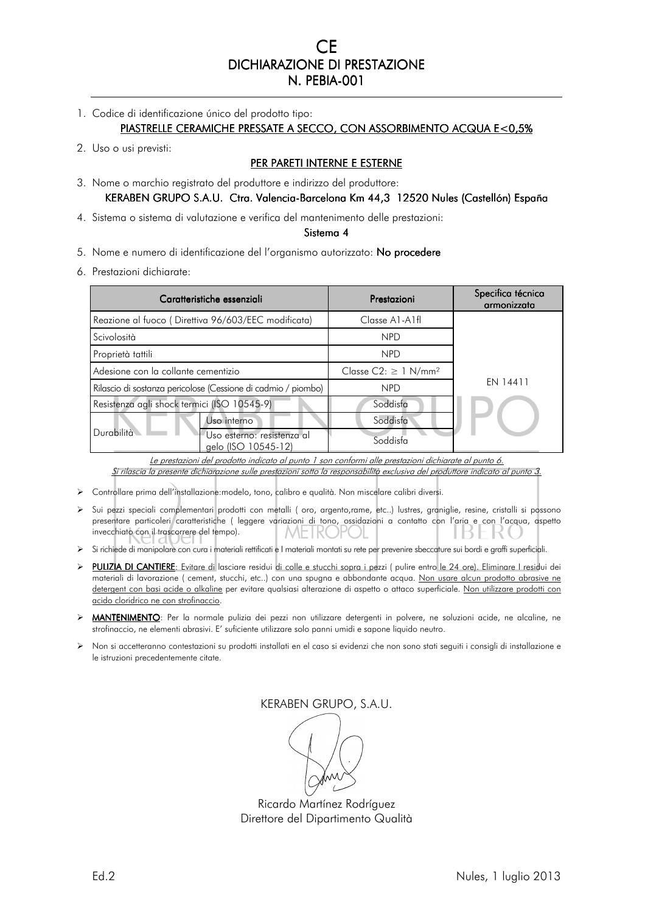CE DICHIARAZIONE DI PRESTAZIONE N. PEBIA-001

- 1. Codice di identificazione único del prodotto tipo: PIASTRELLE CERAMICHE PRESSATE A SECCO, CON ASSORBIMENTO ACQUA E<0,5%
- 2. Uso o usi previsti:

# PER PARETI INTERNE E ESTERNE

3. Nome o marchio registrato del produttore e indirizzo del produttore:

KERABEN GRUPO S.A.U. Ctra. Valencia-Barcelona Km 44,3 12520 Nules (Castellón) España

4. Sistema o sistema di valutazione e verifica del mantenimento delle prestazioni:

#### Sistema 4

- 5. Nome e numero di identificazione del l'organismo autorizzato: No procedere
- 6. Prestazioni dichiarate:

| Caratteristiche essenziali                                    |                                                   | Prestazioni                                | Specifica técnica<br>armonizzata |
|---------------------------------------------------------------|---------------------------------------------------|--------------------------------------------|----------------------------------|
| Reazione al fuoco (Direttiva 96/603/EEC modificata)           |                                                   | $Classe$ A <sub>1</sub> -A <sub>1</sub> fl |                                  |
| Scivolosità                                                   |                                                   | <b>NPD</b>                                 |                                  |
| Proprietà tattili                                             |                                                   | <b>NPD</b>                                 |                                  |
| Adesione con la collante cementizio                           |                                                   | Classe $C2: \geq 1$ N/mm <sup>2</sup>      | EN 14411                         |
| Rilascio di sostanza pericolose (Cessione di cadmio / piombo) |                                                   | <b>NPD</b>                                 |                                  |
| Resistenza agli shock termici (ISO 10545-9)                   |                                                   | Soddisfa                                   |                                  |
|                                                               | Uso interno                                       | Soddisfa                                   |                                  |
| Durabilità                                                    | Jso esterno: resistenza al<br>aelo (ISO 10545-12) | Soddisfa                                   |                                  |

Le prestazioni del prodotto indicato al punto 1 son conformi alle prestazioni dichiarate al punto 6. Si rilascia la presente dichiarazione sulle prestazioni sotto la responsabilità exclusiva del produttore indicato al punto 3.

- Controllare prima dell'installazione:modelo, tono, calibro e qualità. Non miscelare calibri diversi.
- Sui pezzi speciali complementari prodotti con metalli ( oro, argento,rame, etc..) lustres, graniglie, resine, cristalli si possono presentare particoleri caratteristiche ( leggere variazioni di tono, ossidazioni a contatto con l'aria e con l'acqua, aspetto invecchiato con il trascorrere del tempo).
- Si richiede di manipolare con cura i materiali rettificati e I materiali montati su rete per prevenire sbeccature sui bordi e graffi superficiali.
- > PULIZIA DI CANTIERE: Evitare di lasciare residui di colle e stucchi sopra i pezzi ( pulire entro le 24 ore). Eliminare I residui dei materiali di lavorazione ( cement, stucchi, etc..) con una spugna e abbondante acqua. Non usare alcun prodotto abrasive ne detergent con basi acide o alkaline per evitare qualsiasi alterazione di aspetto o attaco superficiale. Non utilizzare prodotti con acido cloridrico ne con strofinaccio.
- MANTENIMENTO: Per la normale pulizia dei pezzi non utilizzare detergenti in polvere, ne soluzioni acide, ne alcaline, ne strofinaccio, ne elementi abrasivi. E' suficiente utilizzare solo panni umidi e sapone liquido neutro.
- Non si accetteranno contestazioni su prodotti installati en el caso si evidenzi che non sono stati seguiti i consigli di installazione e le istruzioni precedentemente citate.

KERABEN GRUPO, S.A.U.

Ricardo Martínez Rodríguez Direttore del Dipartimento Qualità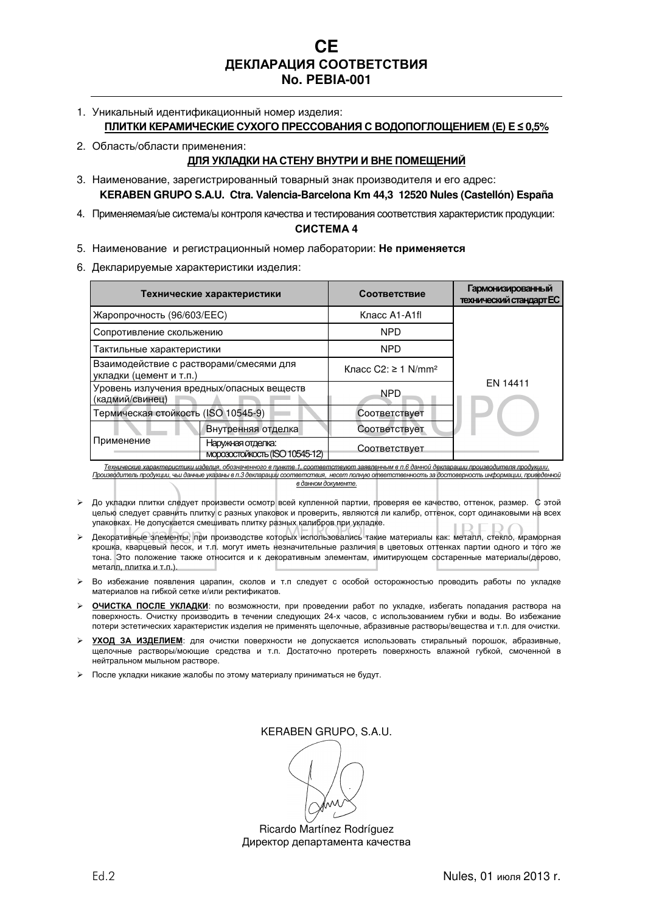**CE ДЕКЛАРАЦИЯ СООТВЕТСТВИЯ No. PEBIA-001** 

- 1. Уникальный идентификационный номер изделия: **ПЛИТКИ КЕРАМИЧЕСКИЕ СУХОГО ПРЕССОВАНИЯ С ВОДОПОГЛОЩЕНИЕМ (E) E ≤ 0,5%**
- 2. Область/области применения:

# **ДЛЯ УКЛАДКИ НА СТЕНУ ВНУТРИ И ВНЕ ПОМЕЩЕНИЙ**

- 3. Наименование, зарегистрированный товарный знак производителя и его адрес: **KERABEN GRUPO S.A.U. Ctra. Valencia-Barcelona Km 44,3 12520 Nules (Castellón) España**
- 4. Применяемая/ые система/ы контроля качества и тестирования соответствия характеристик продукции:

# **СИСТЕМА 4**

- 5. Наименование и регистрационный номер лаборатории: **Не применяется**
- 6. Декларируемые характеристики изделия:

|                                                                    | Технические характеристики                                                                                                              | Соответствие                    | <b>Гармонизированный</b><br>технический стандарт ЕС |
|--------------------------------------------------------------------|-----------------------------------------------------------------------------------------------------------------------------------------|---------------------------------|-----------------------------------------------------|
| Жаропрочность (96/603/ЕЕС)                                         |                                                                                                                                         | Класс A1-A1fl                   |                                                     |
| Сопротивление скольжению                                           |                                                                                                                                         | <b>NPD</b>                      |                                                     |
| Тактильные характеристики                                          |                                                                                                                                         | <b>NPD</b>                      |                                                     |
| Взаимодействие с растворами/смесями для<br>укладки (цемент и т.п.) |                                                                                                                                         | Класс С2: ≥ 1 N/mm <sup>2</sup> | EN 14411                                            |
| Уровень излучения вредных/опасных веществ<br>(кадмий/свинец)       |                                                                                                                                         | NPD                             |                                                     |
| Термическая стойкость (ISO 10545-9)                                |                                                                                                                                         | Соответствует                   |                                                     |
|                                                                    | Внутренняя отделка                                                                                                                      | Соответствует                   |                                                     |
| Применение                                                         | Наружная отделка:<br>морозостойкость (ISO 10545-12)                                                                                     | Соответствует                   |                                                     |
|                                                                    | Технические характеристики изделия. обозначенного в пункте 1. соответствуют заявленным в п.6 данной декларации производителя продукции. |                                 |                                                     |

Технические характеристики изделия, обозначенного в пункте 1, соответствуют заявленным в п.6 данной декларации производителя продукции. Производитель продукции, чьи данные указаны в п.3 декларации соответствия, несет полную ответственность за достоверность информации, приведе

*в данном документе*.

- До укладки плитки следует произвести осмотр всей купленной партии, проверяя ее качество, оттенок, размер. С этой целью следует сравнить плитку с разных упаковок и проверить, являются ли калибр, оттенок, сорт одинаковыми на всех упаковках. Не допускается смешивать плитку разных калибров при укладке.
- Декоративные элементы, при производстве которых использовались такие материалы как: металл, стекло, мраморная крошка, кварцевый песок, и т.п. могут иметь незначительные различия в цветовых оттенках партии одного и того же тона. Это положение также относится и к декоративным элементам, имитирующем состаренные материалы(дерово, металл, плитка и т.п.).
- Во избежание появления царапин, сколов и т.п следует с особой осторожностью проводить работы по укладке материалов на гибкой сетке и/или ректификатов.
- **ОЧИСТКА ПОСЛЕ УКЛАДКИ**: по возможности, при проведении работ по укладке, избегать попадания раствора на поверхность. Очистку производить в течении следующих 24-х часов, с использованием губки и воды. Во избежание потери эстетических характеристик изделия не применять щелочные, абразивные растворы/вещества и т.п. для очистки.
- **УХОД ЗА ИЗДЕЛИЕМ**: для очистки поверхности не допускается использовать стиральный порошок, абразивные, щелочные растворы/моющие средства и т.п. Достаточно протереть поверхность влажной губкой, смоченной в нейтральном мыльном растворе.
- После укладки никакие жалобы по этому материалу приниматься не будут.

KERABEN GRUPO, S.A.U.

Ricardo Martínez Rodríguez Директор департамента качества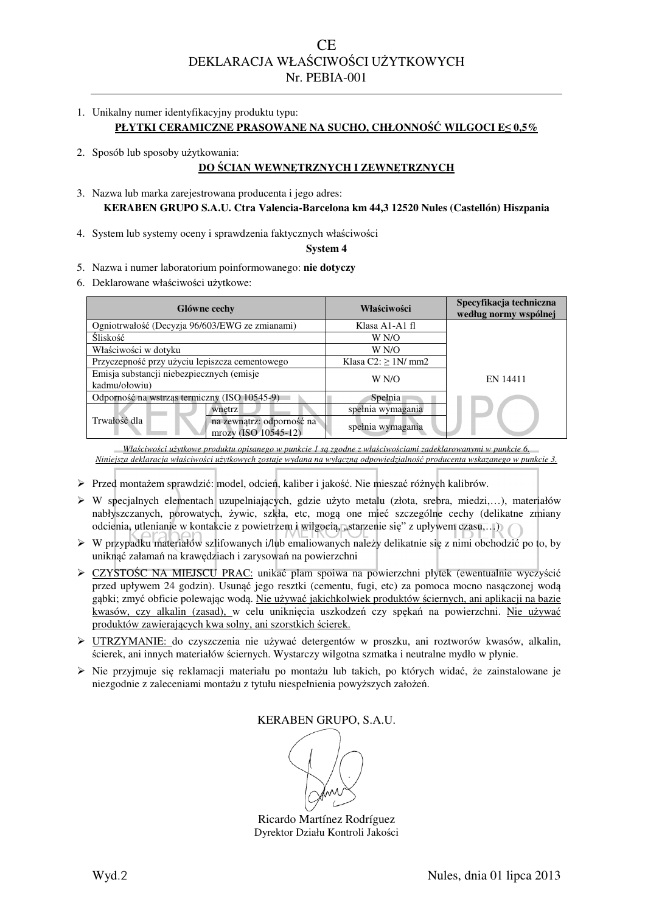- 1. Unikalny numer identyfikacyjny produktu typu: **PŁYTKI CERAMICZNE PRASOWANE NA SUCHO, CHŁONNOŚĆ WILGOCI E≤ 0,5%**
- 2. Sposób lub sposoby użytkowania:

# **DO ŚCIAN WEWNĘTRZNYCH I ZEWNĘTRZNYCH**

- 3. Nazwa lub marka zarejestrowana producenta i jego adres: **KERABEN GRUPO S.A.U. Ctra Valencia-Barcelona km 44,3 12520 Nules (Castellón) Hiszpania**
- 4. System lub systemy oceny i sprawdzenia faktycznych właściwości

**System 4** 

- 5. Nazwa i numer laboratorium poinformowanego: **nie dotyczy**
- 6. Deklarowane właściwości użytkowe:

| Glówne cechy                                               |                                                   | Właściwości                             | Specyfikacja techniczna<br>według normy wspólnej |
|------------------------------------------------------------|---------------------------------------------------|-----------------------------------------|--------------------------------------------------|
| Ogniotrwałość (Decyzja 96/603/EWG ze zmianami)             |                                                   | Klasa A <sub>1</sub> -A <sub>1</sub> fl |                                                  |
| <b>Sliskość</b>                                            |                                                   | W N/O                                   |                                                  |
| Właściwości w dotyku                                       |                                                   | W N/O                                   |                                                  |
| Przyczepność przy użyciu lepiszcza cementowego             |                                                   | Klasa $C2 \ge 1N/mm2$                   |                                                  |
| Emisja substancji niebezpiecznych (emisje<br>kadmu/ołowiu) |                                                   | W N/O                                   | EN 14411                                         |
| Odporność na wstrząs termiczny (ISO 10545-9)               |                                                   | Spełnia                                 |                                                  |
|                                                            | wnetrz                                            | spełnia wymagania                       |                                                  |
| Trwałość dla                                               | na zewnątrz: odporność na<br>mrozy (ISO 10545-12) | spełnia wymagania                       |                                                  |

*Właściwości użytkowe produktu opisanego w punkcie 1 są zgodne z właściwościami zadeklarowanymi w punkcie 6. Niniejsza deklaracja właściwości użytkowych zostaje wydana na wyłączną odpowiedzialność producenta wskazanego w punkcie 3.* 

- Przed montażem sprawdzić: model, odcień, kaliber i jakość. Nie mieszać różnych kalibrów.
- W specjalnych elementach uzupelniających, gdzie użyto metalu (złota, srebra, miedzi,…), materiałów nabłyszczanych, porowatych, żywic, szkła, etc, mogą one mieć szczególne cechy (delikatne zmiany odcienia, utlenianie w kontakcie z powietrzem i wilgocią, "starzenie się" z upływem czasu,...) (
- $\triangleright$  W przypadku materiałów szlifowanych i/lub emaliowanych należy delikatnie się z nimi obchodzić po to, by uniknąć załamań na krawędziach i zarysowań na powierzchni
- CZYSTOŚC NA MIEJSCU PRAC: unikać plam spoiwa na powierzchni płytek (ewentualnie wyczyścić przed upływem 24 godzin). Usunąć jego resztki (cementu, fugi, etc) za pomoca mocno nasączonej wodą gąbki; zmyć obficie polewając wodą. Nie używać jakichkolwiek produktów ściernych, ani aplikacji na bazie kwasów, czy alkalin (zasad), w celu uniknięcia uszkodzeń czy spękań na powierzchni. Nie używać produktów zawierających kwa solny, ani szorstkich ścierek.
- UTRZYMANIE: do czyszczenia nie używać detergentów w proszku, ani roztworów kwasów, alkalin, ścierek, ani innych materiałów ściernych. Wystarczy wilgotna szmatka i neutralne mydło w płynie.
- Nie przyjmuje się reklamacji materiału po montażu lub takich, po których widać, że zainstalowane je niezgodnie z zaleceniami montażu z tytułu niespełnienia powyższych założeń.

KERABEN GRUPO, S.A.U.

Ricardo Martínez Rodríguez Dyrektor Działu Kontroli Jakości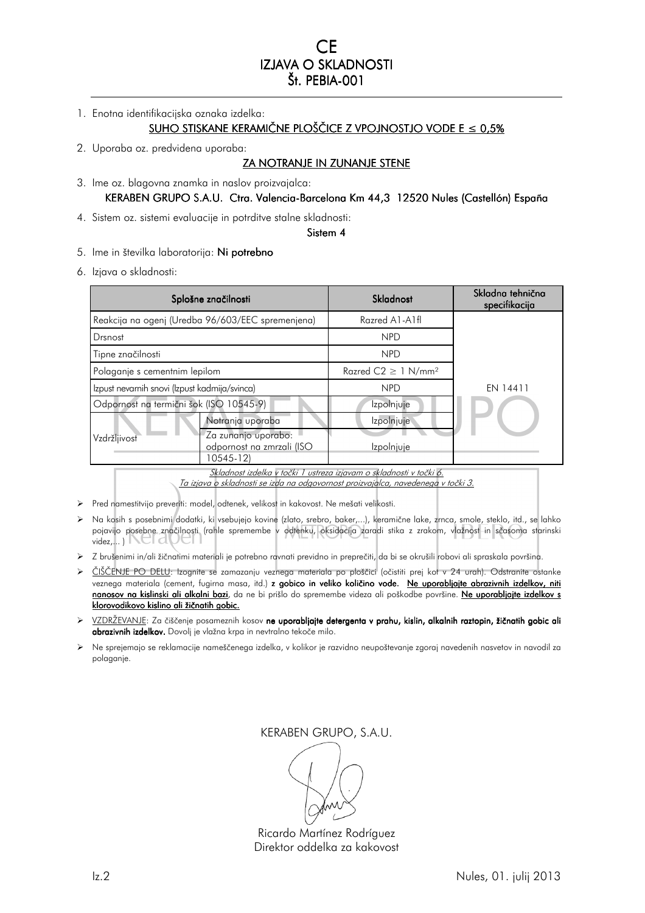1. Enotna identifikacijska oznaka izdelka:

# SUHO STISKANE KERAMIČNE PLOŠČICE Z VPOJNOSTJO VODE E ≤0,5%

2. Uporaba oz. predvidena uporaba:

### ZA NOTRANJE IN ZUNANJE STENE

3. Ime oz. blagovna znamka in naslov proizvajalca:

### KERABEN GRUPO S.A.U. Ctra. Valencia-Barcelona Km 44,3 12520 Nules (Castellón) España

4. Sistem oz. sistemi evaluacije in potrditve stalne skladnosti:

#### Sistem 4

- 5. Ime in številka laboratorija: Ni potrebno
- 6. Izjava o skladnosti:

| Splošne značilnosti                           |                                                               | Skladnost                            | Skladna tehnična<br>specifikacija |
|-----------------------------------------------|---------------------------------------------------------------|--------------------------------------|-----------------------------------|
|                                               | Reakcija na ogenj (Uredba 96/603/EEC spremenjena)             | Razred A1-A1fl                       |                                   |
| Drsnost                                       |                                                               | <b>NPD</b>                           |                                   |
| Tipne značilnosti                             |                                                               | <b>NPD</b>                           |                                   |
| Polaganje s cementnim lepilom                 |                                                               | Razred $C2 \geq 1$ N/mm <sup>2</sup> |                                   |
| Izpust nevarnih snovi (Izpust kadmija/svinca) |                                                               | <b>NPD</b>                           | EN 14411                          |
| Odpornost na termični šok (ISO 10545-9)       |                                                               | Izpolnjuje                           |                                   |
|                                               | Notranja uporaba                                              | Izpolnjuje                           |                                   |
| Vzdržljivost                                  | Za zunanjo uporabo:<br>odpornost na zmrzali (ISO<br>10545-12) | Izpolnjuje                           |                                   |

Skladnost izdelka v točki 1 ustreza izjavam o skladnosti v točki 6.

Ta izjava o skladnosti se izda na odgovornost proizvajalca, navedenega v točki 3.

- Pred namestitvijo preveriti: model, odtenek, velikost in kakovost. Ne mešati velikosti.
- Na kosih s posebnimi dodatki, ki vsebujejo kovine (zlato, srebro, baker,...), keramične lake, zrnca, smole, steklo, itd., se lahko pojavijo posebne značilnosti (rahle spremembe v odtenku, oksidacija zaradi stika z zrakom, vlažnost in sčasoma starinski videz,... )
- Z brušenimi in/ali žičnatimi materiali je potrebno ravnati previdno in preprečiti, da bi se okrušili robovi ali spraskala površina.
- > ČIŠČENJE PO DELU: Izognite se zamazanju veznega materiala po ploščici (očistiti prej kot v 24 urah). Odstranite ostanke veznega materiala (cement, fugirna masa, itd.) **z gobico in veliko količino vode.** <u>Ne uporabljajte abrazivnih izdelkov, niti</u> nanosov na kislinski ali alkalni bazi, da ne bi prišlo do spremembe videza ali poškodbe površine. Ne uporabljajte izdelkov s klorovodikovo kislino ali žičnatih gobic.
- VZDRŽEVANJE: Za čiščenje posameznih kosov ne uporabljajte detergenta v prahu, kislin, alkalnih raztopin, žičnatih gobic ali abrazivnih izdelkov. Dovolj je vlažna krpa in nevtralno tekoče milo.
- Ne sprejemajo se reklamacije nameščenega izdelka, v kolikor je razvidno neupoštevanje zgoraj navedenih nasvetov in navodil za polaganje.

Ricardo Martínez Rodríguez Direktor oddelka za kakovost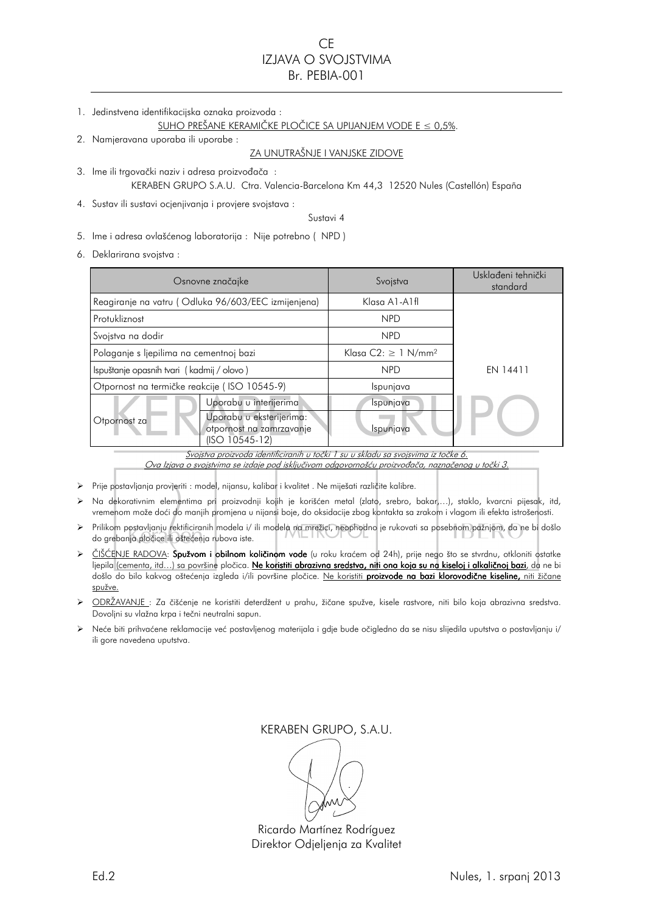# CE IZJAVA O SVOJSTVIMA Br. PEBIA-001

1. Jedinstvena identifikacijska oznaka proizvoda :

#### SUHO PREŠANE KERAMIČKE PLOČICE SA UPIJANJEM VODE E ≤ 0,5%.

2. Namjeravana uporaba ili uporabe :

## ZA UNUTRAŠNJE I VANJSKE ZIDOVE

- 3. Ime ili trgovački naziv i adresa proizvođača : KERABEN GRUPO S.A.U. Ctra. Valencia-Barcelona Km 44,3 12520 Nules (Castellón) España
- 4. Sustav ili sustavi ocjenjivanja i provjere svojstava :

Sustavi 4

5. Ime i adresa ovlašćenog laboratorija : Nije potrebno ( NPD )

6. Deklarirana svojstva :

| Osnovne značajke                                                                  |                                                                        | Svojstva                             | Usklađeni tehnički<br>standard |
|-----------------------------------------------------------------------------------|------------------------------------------------------------------------|--------------------------------------|--------------------------------|
|                                                                                   | Reagiranje na vatru (Odluka 96/603/EEC izmijenjena)                    | Klasa A1-A1fl                        |                                |
| Protukliznost                                                                     |                                                                        | <b>NPD</b>                           |                                |
| Svojstva na dodir                                                                 |                                                                        | <b>NPD</b>                           |                                |
| Polaganje s ljepilima na cementnoj bazi                                           |                                                                        | Klasa $C2: \geq 1$ N/mm <sup>2</sup> | EN 14411                       |
| Ispuštanje opasnih tvari (kadmij / olovo)                                         |                                                                        | <b>NPD</b>                           |                                |
| Otpornost na termičke reakcije (ISO 10545-9)                                      |                                                                        | Ispunjava                            |                                |
|                                                                                   | Uporabu u interijerima                                                 | Ispunjava                            |                                |
| Otpornost za                                                                      | Uporabu u eksterijerima:<br>otpornost na zamrzavanje<br>(ISO 10545-12) | Ispunjava                            |                                |
| Svojstva proizvoda identificiranih u točki 1 su u skladu sa svojsvima iz točke 6. |                                                                        |                                      |                                |

Ova Izjava o svojstvima se izdaje pod isključivom odgovornošću proizvođača, naznačenog u točki 3.

- Prije postavljanja provjeriti : model, nijansu, kalibar i kvalitet . Ne miješati različite kalibre.
- Na dekorativnim elementima pri proizvodnji kojih je korišćen metal (zlato, srebro, bakar,…), staklo, kvarcni pijesak, itd, vremenom može doći do manjih promjena u nijansi boje, do oksidacije zbog kontakta sa zrakom i vlagom ili efekta istrošenosti.
- Prilikom postavljanju rektificiranih modela i/ ili modela na mrežici, neophodno je rukovati sa posebnom pažnjom, da ne bi došlo do grebanja pločice ili oštećenja rubova iste.
- $\triangleright$  ČIŠĆENJE RADOVA: Spužvom i obilnom količinom vode (u roku kraćem od 24h), prije nego što se stvrdnu, otkloniti ostatke ljepila (cementa, itd…) sa površine pločica. <mark>Ne koristiti abrazivna sredstva, niti ona koja su na kiseloj i alkaličnoj bazi</mark>, da ne bi došlo do bilo kakvog oštećenja izgleda i/ili površine pločice. <u>Ne koristiti **proizvode na bazi klorovodične kiseline,** niti žičane</u> spužve.
- ODRŽAVANJE : Za čišćenje ne koristiti deterdžent u prahu, žičane spužve, kisele rastvore, niti bilo koja abrazivna sredstva. Dovoljni su vlažna krpa i tečni neutralni sapun.
- Neće biti prihvaćene reklamacije već postavljenog materijala i gdje bude očigledno da se nisu slijedila uputstva o postavljanju i/ ili gore navedena uputstva.

Ricardo Martínez Rodríguez Direktor Odjeljenja za Kvalitet